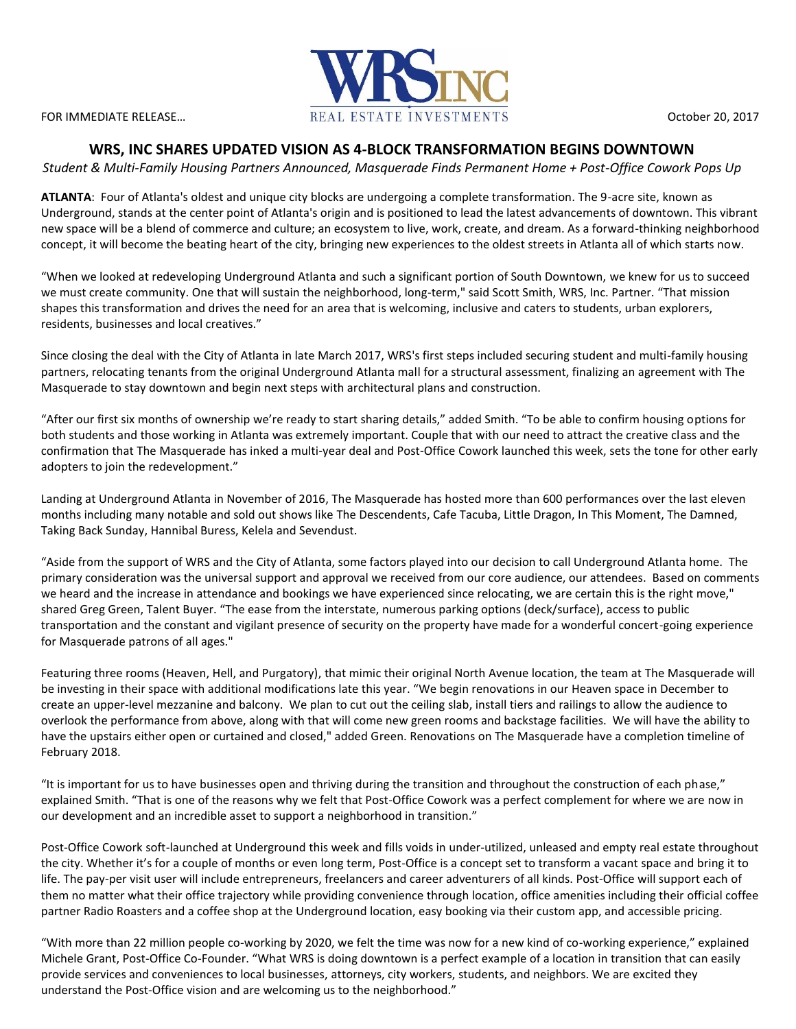

# **WRS, INC SHARES UPDATED VISION AS 4-BLOCK TRANSFORMATION BEGINS DOWNTOWN**

*Student & Multi-Family Housing Partners Announced, Masquerade Finds Permanent Home + Post-Office Cowork Pops Up* 

**ATLANTA**: Four of Atlanta's oldest and unique city blocks are undergoing a complete transformation. The 9-acre site, known as Underground, stands at the center point of Atlanta's origin and is positioned to lead the latest advancements of downtown. This vibrant new space will be a blend of commerce and culture; an ecosystem to live, work, create, and dream. As a forward-thinking neighborhood concept, it will become the beating heart of the city, bringing new experiences to the oldest streets in Atlanta all of which starts now.

"When we looked at redeveloping Underground Atlanta and such a significant portion of South Downtown, we knew for us to succeed we must create community. One that will sustain the neighborhood, long-term," said Scott Smith, WRS, Inc. Partner. "That mission shapes this transformation and drives the need for an area that is welcoming, inclusive and caters to students, urban explorers, residents, businesses and local creatives."

Since closing the deal with the City of Atlanta in late March 2017, WRS's first steps included securing student and multi-family housing partners, relocating tenants from the original Underground Atlanta mall for a structural assessment, finalizing an agreement with The Masquerade to stay downtown and begin next steps with architectural plans and construction.

"After our first six months of ownership we're ready to start sharing details," added Smith. "To be able to confirm housing options for both students and those working in Atlanta was extremely important. Couple that with our need to attract the creative class and the confirmation that The Masquerade has inked a multi-year deal and Post-Office Cowork launched this week, sets the tone for other early adopters to join the redevelopment."

Landing at Underground Atlanta in November of 2016, The Masquerade has hosted more than 600 performances over the last eleven months including many notable and sold out shows like The Descendents, Cafe Tacuba, Little Dragon, In This Moment, The Damned, Taking Back Sunday, Hannibal Buress, Kelela and Sevendust.

"Aside from the support of WRS and the City of Atlanta, some factors played into our decision to call Underground Atlanta home. The primary consideration was the universal support and approval we received from our core audience, our attendees. Based on comments we heard and the increase in attendance and bookings we have experienced since relocating, we are certain this is the right move," shared Greg Green, Talent Buyer. "The ease from the interstate, numerous parking options (deck/surface), access to public transportation and the constant and vigilant presence of security on the property have made for a wonderful concert-going experience for Masquerade patrons of all ages."

Featuring three rooms (Heaven, Hell, and Purgatory), that mimic their original North Avenue location, the team at The Masquerade will be investing in their space with additional modifications late this year. "We begin renovations in our Heaven space in December to create an upper-level mezzanine and balcony. We plan to cut out the ceiling slab, install tiers and railings to allow the audience to overlook the performance from above, along with that will come new green rooms and backstage facilities. We will have the ability to have the upstairs either open or curtained and closed," added Green. Renovations on The Masquerade have a completion timeline of February 2018.

"It is important for us to have businesses open and thriving during the transition and throughout the construction of each phase," explained Smith. "That is one of the reasons why we felt that Post-Office Cowork was a perfect complement for where we are now in our development and an incredible asset to support a neighborhood in transition."

Post-Office Cowork soft-launched at Underground this week and fills voids in under-utilized, unleased and empty real estate throughout the city. Whether it's for a couple of months or even long term, Post-Office is a concept set to transform a vacant space and bring it to life. The pay-per visit user will include entrepreneurs, freelancers and career adventurers of all kinds. Post-Office will support each of them no matter what their office trajectory while providing convenience through location, office amenities including their official coffee partner Radio Roasters and a coffee shop at the Underground location, easy booking via their custom app, and accessible pricing.

"With more than 22 million people co-working by 2020, we felt the time was now for a new kind of co-working experience," explained Michele Grant, Post-Office Co-Founder. "What WRS is doing downtown is a perfect example of a location in transition that can easily provide services and conveniences to local businesses, attorneys, city workers, students, and neighbors. We are excited they understand the Post-Office vision and are welcoming us to the neighborhood."